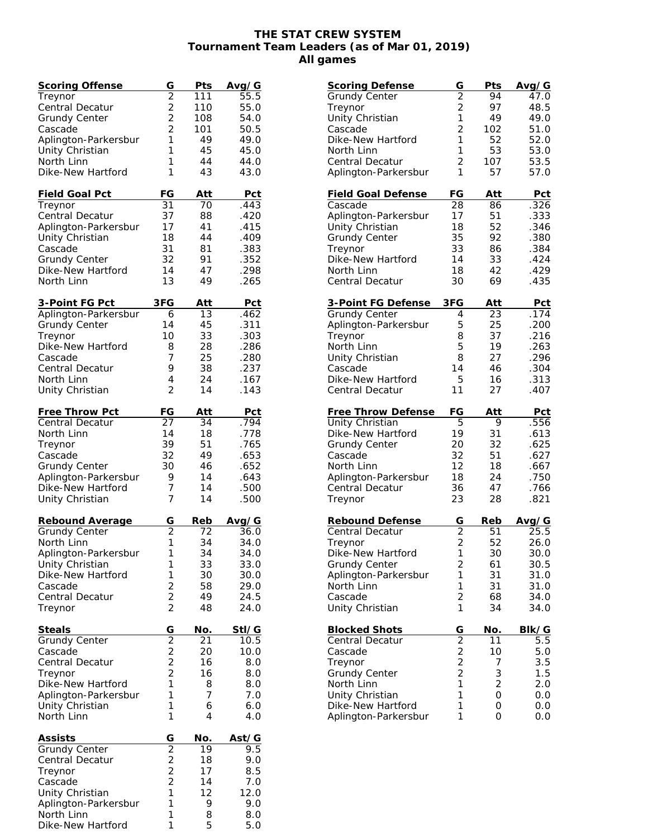## **THE STAT CREW SYSTEM Tournament Team Leaders (as of Mar 01, 2019) All games**

| <b>Scoring Offense</b> | G                                          | Pts        | Avg/G        |
|------------------------|--------------------------------------------|------------|--------------|
| Treynor                | $\overline{2}$                             | 111        | 55.5         |
| Central Decatur        | $\overline{c}$                             | 110        | 55.0         |
| <b>Grundy Center</b>   | $\overline{2}$                             | 108        | 54.0         |
| Cascade                | $\overline{2}$                             | 101        | 50.5         |
| Aplington-Parkersbur   | 1                                          | 49         | 49.0         |
| Unity Christian        | 1                                          | 45         | 45.0         |
| North Linn             | 1                                          | 44         | 44.0         |
| Dike-New Hartford      | 1                                          | 43         | 43.0         |
|                        |                                            |            |              |
| <u>Field Goal Pct</u>  | FG                                         | Att        | Pct          |
| Treynor                | 31                                         | 70         | .443         |
| Central Decatur        | 37                                         | 88         | .420         |
| Aplington-Parkersbur   | 17                                         | 41         | .415         |
| Unity Christian        | 18                                         | 44         | .409         |
| Cascade                | 31                                         | 81         | .383         |
| <b>Grundy Center</b>   | 32                                         | 91         | .352         |
| Dike-New Hartford      | 14                                         | 47         | .298         |
| North Linn             | 13                                         | 49         | .265         |
|                        |                                            |            |              |
| 3-Point FG Pct         | 3FG                                        | <u>Att</u> | <u>Pct</u>   |
| Aplington-Parkersbur   | 6                                          | 13         | .462         |
| <b>Grundy Center</b>   | 14                                         | 45         | .311         |
| Treynor                | 10                                         | 33         | .303         |
| Dike-New Hartford      | 8                                          | 28         | .286         |
| Cascade                | 7                                          | 25         | .280         |
| Central Decatur        | 9                                          | 38         | .237         |
| North Linn             | 4                                          | 24         | .167         |
| Unity Christian        | $\overline{2}$                             | 14         | .143         |
|                        |                                            |            |              |
| Free Throw Pct         | FG                                         | Att        | <b>Pct</b>   |
| Central Decatur        | 27                                         | 34         | .794         |
| North Linn             | 14                                         | 18         | .778         |
| Treynor                | 39                                         | 51         | .765         |
| Cascade                | 32                                         | 49         | .653         |
| <b>Grundy Center</b>   | 30                                         | 46         | .652         |
| Aplington-Parkersbur   | 9                                          | 14         | .643         |
| Dike-New Hartford      | 7                                          | 14         | .500         |
| Unity Christian        | 7                                          | 14         | .500         |
|                        |                                            |            |              |
| Rebound Average        | G                                          | Reb        | <u>Avg/G</u> |
| <b>Grundy Center</b>   | $\overline{2}$                             | 72         | 36.0         |
| North Linn             | 1                                          | 34         | 34.0         |
| Aplington-Parkersbur   | 1                                          | 34         | 34.0         |
| Unity Christian        | 1                                          | 33         | 33.0         |
| Dike-New Hartford      | 1                                          | 30         | 30.0         |
| Cascade                | $\frac{2}{2}$                              | 58         | 29.0         |
| Central Decatur        |                                            | 49         | 24.5         |
| Treynor                | $\overline{2}$                             | 48         | 24.0         |
|                        |                                            |            |              |
| <b>Steals</b>          | G                                          | No.        | StI/G        |
| <b>Grundy Center</b>   | $\overline{2}$                             | 21         | 10.5         |
| Cascade                | $\begin{array}{c} 2 \\ 2 \\ 2 \end{array}$ | 20         | 10.0         |
| Central Decatur        |                                            | 16         | 8.0          |
| Treynor                |                                            | 16         | 8.0          |
| Dike-New Hartford      | 1                                          | 8          | 8.0          |
| Aplington-Parkersbur   | 1                                          | 7          | 7.0          |
| Unity Christian        | 1                                          | 6          | 6.0          |
| North Linn             | 1                                          | 4          | 4.0          |
|                        |                                            |            |              |
| Assists                | G<br>$\overline{2}$                        | No.        | Ast/G        |
| Grundy Center          |                                            | 19         | 9.5          |
| Central Decatur        | $\frac{2}{2}$                              | 18         | 9.0          |
| Treynor                | $\overline{2}$                             | 17         | 8.5          |
| Cascade                |                                            | 14         | 7.0          |
| Unity Christian        | 1                                          | 12         | 12.0         |
| Aplington-Parkersbur   | 1                                          | 9          | 9.0          |
| North Linn             | 1                                          | 8          | 8.0          |
| Dike-New Hartford      | 1                                          | 5          | 5.0          |

| <b>Scoring Defense</b>    | G                                          | Pts            | Avg/G      |
|---------------------------|--------------------------------------------|----------------|------------|
| <b>Grundy Center</b>      | $\overline{2}$                             | 94             | 47.0       |
| Treynor                   | $\overline{c}$                             | 97             | 48.5       |
| Unity Christian           | $\mathbf{1}$                               | 49             | 49.0       |
| Cascade                   | $\overline{2}$                             | 102            | 51.0       |
| Dike-New Hartford         | 1                                          | 52             | 52.0       |
|                           |                                            |                |            |
| North Linn                | 1                                          | 53             | 53.0       |
| Central Decatur           | $\overline{2}$                             | 107            | 53.5       |
| Aplington-Parkersbur      | 1                                          | 57             | 57.0       |
|                           |                                            |                |            |
|                           |                                            |                |            |
| <b>Field Goal Defense</b> | FG                                         | Att            | Pct        |
| Cascade                   | 28                                         | 86             | .326       |
| Aplington-Parkersbur      | 17                                         | 51             | .333       |
| Unity Christian           | 18                                         | 52             | .346       |
| <b>Grundy Center</b>      | 35                                         | 92             | .380       |
|                           | 33                                         | 86             | .384       |
| Treynor                   |                                            |                |            |
| Dike-New Hartford         | 14                                         | 33             | .424       |
| North Linn                | 18                                         | 42             | .429       |
| <b>Central Decatur</b>    | 30                                         | 69             | .435       |
|                           |                                            |                |            |
| 3-Point FG Defense        | 3FG                                        | Att            | Pct        |
|                           |                                            |                |            |
| <b>Grundy Center</b>      | 4                                          | 23             | .174       |
| Aplington-Parkersbur      | 5                                          | 25             | .200       |
| Treynor                   | 8                                          | 37             | .216       |
| North Linn                | 5                                          | 19             | .263       |
| Unity Christian           | 8                                          | 27             | .296       |
|                           |                                            |                |            |
| Cascade                   | 14                                         | 46             | .304       |
| Dike-New Hartford         | 5                                          | 16             | .313       |
| Central Decatur           | 11                                         | 27             | .407       |
|                           |                                            |                |            |
|                           |                                            |                |            |
|                           |                                            |                |            |
| <b>Free Throw Defense</b> | FG                                         | Att            | <b>Pct</b> |
| Unity Christian           | 5                                          | 9              | .556       |
| Dike-New Hartford         | 19                                         | 31             | .613       |
| <b>Grundy Center</b>      | 20                                         | 32             | .625       |
| Cascade                   | 32                                         | 51             | .627       |
| North Linn                | 12                                         | 18             |            |
|                           |                                            |                | .667       |
| Aplington-Parkersbur      | 18                                         | 24             | .750       |
| Central Decatur           | 36                                         | 47             | .766       |
| Treynor                   | 23                                         | 28             | .821       |
|                           |                                            |                |            |
| <b>Rebound Defense</b>    | G                                          | Reb            | Avg/G      |
|                           | $\overline{2}$                             | 51             |            |
| Central Decatur           |                                            |                | 25.5       |
| Treynor                   | $\overline{2}$                             | 52             | 26.0       |
| Dike-New Hartford         | 1                                          | 30             | 30.0       |
| <b>Grundy Center</b>      | $\overline{c}$                             | 61             | 30.5       |
| Aplington-Parkersbur      | 1                                          | 31             | 31.0       |
| North Linn                | 1                                          |                |            |
|                           |                                            | 31             | 31.0       |
| Cascade                   | $\overline{c}$                             | 68             | 34.0       |
| Unity Christian           | $\mathbf{1}$                               | 34             | 34.0       |
|                           |                                            |                |            |
| <b>Blocked Shots</b>      | G                                          | No.            | Blk/G      |
| Central Decatur           | $\overline{2}$                             | 11             | 5.5        |
| Cascade                   |                                            | 10             | 5.0        |
|                           |                                            |                |            |
| Treynor                   |                                            | 7              | 3.5        |
| <b>Grundy Center</b>      | $\begin{array}{c} 2 \\ 2 \\ 2 \end{array}$ | 3              | 1.5        |
| North Linn                | $\overline{1}$                             | $\overline{2}$ | 2.0        |
| Unity Christian           | 1                                          | 0              | 0.0        |
| Dike-New Hartford         | 1                                          | 0              | 0.0        |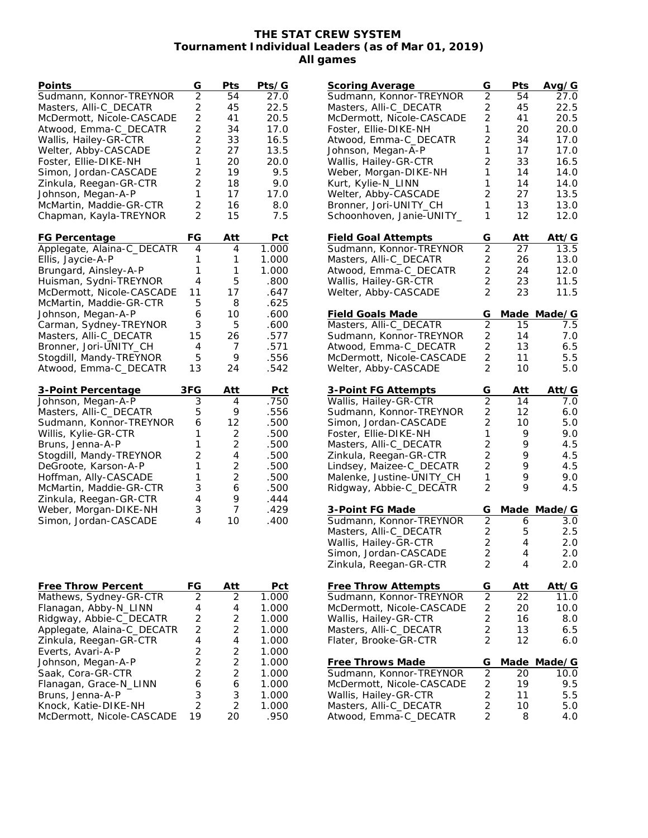## **THE STAT CREW SYSTEM Tournament Individual Leaders (as of Mar 01, 2019) All games**

| Points                     | G              | Pts            | Pts/G |
|----------------------------|----------------|----------------|-------|
| Sudmann, Konnor-TREYNOR    | $\overline{2}$ | 54             | 27.0  |
| Masters, Alli-C_DECATR     | $\overline{2}$ | 45             | 22.5  |
| McDermott, Nicole-CASCADE  | $\overline{2}$ | 41             | 20.5  |
| Atwood, Emma-C_DECATR      | $\overline{2}$ | 34             | 17.0  |
| Wallis, Hailey-GR-CTR      | $\overline{2}$ | 33             | 16.5  |
|                            | $\overline{2}$ |                |       |
| Welter, Abby-CASCADE       |                | 27             | 13.5  |
| Foster, Ellie-DIKE-NH      | 1              | 20             | 20.0  |
| Simon, Jordan-CASCADE      | $\overline{2}$ | 19             | 9.5   |
| Zinkula, Reegan-GR-CTR     | 2              | 18             | 9.0   |
| Johnson, Megan-A-P         | 1              | 17             | 17.0  |
| McMartin, Maddie-GR-CTR    | $\overline{2}$ | 16             | 8.0   |
| Chapman, Kayla-TREYNOR     | 2              | 15             | 7.5   |
|                            |                |                |       |
| FG Percentage              | FG             | Att            | Pct   |
| Applegate, Alaina-C_DECATR | 4              | 4              | 1.000 |
| Ellis, Jaycie-A-P          | 1              | 1              | 1.000 |
| Brungard, Ainsley-A-P      | 1              | 1              | 1.000 |
| Huisman, Sydni-TREYNOR     | $\overline{4}$ | 5              | .800  |
| McDermott, Nicole-CASCADE  | 11             | 17             | .647  |
| McMartin, Maddie-GR-CTR    | 5              | 8              | .625  |
| Johnson, Megan-A-P         | 6              | 10             | .600  |
| Carman, Sydney-TREYNOR     | 3              | 5              | .600  |
| Masters, Alli-C_DECATR     | 15             |                | .577  |
|                            |                | 26             |       |
| Bronner, Jori-UNITY_CH     | 4              | 7              | .571  |
| Stogdill, Mandy-TREYNOR    | 5              | 9              | .556  |
| Atwood, Emma-C_DECATR      | 13             | 24             | .542  |
| 3-Point Percentage         | 3FG            | Att            | Pct   |
| Johnson, Megan-A-P         | $\overline{3}$ | 4              | .750  |
| Masters, Alli-C_DECATR     | 5              | 9              | .556  |
| Sudmann, Konnor-TREYNOR    | 6              | 12             | .500  |
|                            | 1              | 2              | .500  |
| Willis, Kylie-GR-CTR       |                |                |       |
| Bruns, Jenna-A-P           | 1              | 2              | .500  |
| Stogdill, Mandy-TREYNOR    | $\overline{2}$ | 4              | .500  |
| DeGroote, Karson-A-P       | 1              | 2              | .500  |
| Hoffman, Ally-CASCADE      | 1              | $\overline{2}$ | .500  |
| McMartin, Maddie-GR-CTR    | 3              | 6              | .500  |
| Zinkula, Reegan-GR-CTR     | 4              | 9              | .444  |
| Weber, Morgan-DIKE-NH      | 3              | 7              | .429  |
| Simon, Jordan-CASCADE      | 4              | 10             | .400  |
|                            |                |                |       |
|                            |                |                |       |
|                            |                |                |       |
|                            |                |                |       |
| <b>Free Throw Percent</b>  | FG             | Att            | Pct   |
| Mathews, Sydney-GR-CTR     | 2              | 2              | 1.000 |
| Flanagan, Abby-N_LINN      | 4              | 4              | 1.000 |
| Ridgway, Abbie-C_DECATR    | $\overline{c}$ | $\overline{2}$ | 1.000 |
|                            |                |                |       |
| Applegate, Alaina-C_DECATR | $\overline{c}$ | $\overline{2}$ | 1.000 |
| Zinkula, Reegan-GR-CTR     | $\overline{4}$ | $\overline{4}$ | 1.000 |
| Everts, Avari-A-P          | $\overline{c}$ | $\overline{2}$ | 1.000 |
| Johnson, Megan-A-P         | $\overline{c}$ | $\overline{2}$ | 1.000 |
| Saak, Cora-GR-CTR          | $\overline{2}$ | $\overline{2}$ | 1.000 |
| Flanagan, Grace-N_LINN     | 6              | 6              | 1.000 |
| Bruns, Jenna-A-P           | 3              | 3              | 1.000 |
| Knock, Katie-DIKE-NH       | $\overline{2}$ | $\overline{2}$ | 1.000 |
| McDermott, Nicole-CASCADE  | 19             | 20             | .950  |
|                            |                |                |       |

| <b>Scoring Average</b>     | G                       | Pts         | Avg/G            |
|----------------------------|-------------------------|-------------|------------------|
| Sudmann, Konnor-TREYNOR    | $\overline{2}$          | 54          | 27.0             |
| Masters, Alli-C_DECATR     | $\overline{\mathbf{c}}$ | 45          | 22.5             |
| McDermott, Nicole-CASCADE  | $\overline{2}$          | 41          | 20.5             |
| Foster, Ellie-DIKE-NH      | 1                       | 20          | 20.0             |
| Atwood, Emma-C_DECATR      | $\overline{2}$          | 34          | 17.0             |
| Johnson, Megan-A-P         | 1                       | 17          | 17.0             |
| Wallis, Hailey-GR-CTR      | $\overline{c}$          | 33          | 16.5             |
|                            |                         |             |                  |
| Weber, Morgan-DIKE-NH      | 1                       | 14          | 14.0             |
| Kurt, Kylie-N_LINN         | 1                       | 14          | 14.0             |
| Welter, Abby-CASCADE       | $\overline{c}$          | 27          | 13.5             |
| Bronner, Jori-UNITY_CH     | 1                       | 13          | 13.0             |
| Schoonhoven, Janie-UNITY_  | 1                       | 12          | 12.0             |
|                            |                         |             |                  |
| <u>Field Goal Attempts</u> | G                       | Att         | Att/G            |
| Sudmann, Konnor-TREYNOR    | $\overline{2}$          | 27          | 13.5             |
| Masters, Alli-C_DECATR     |                         |             |                  |
|                            | $\overline{\mathbf{c}}$ | 26          | 13.0             |
| Atwood, Emma-C_DECATR      | $\overline{2}$          | 24          | 12.0             |
| Wallis, Hailey-GR-CTR      | $\frac{2}{2}$           | 23          | 11.5             |
| Welter, Abby-CASCADE       |                         | 23          | 11.5             |
|                            |                         |             |                  |
| <u>Field Goals Made</u>    | G                       | <u>Made</u> | Made/G           |
| Masters, Alli-C_DECATR     | $\overline{2}$          | 15          | $7.\overline{5}$ |
| Sudmann, Konnor-TREYNOR    | $\overline{\mathbf{c}}$ | 14          | 7.0              |
| Atwood, Emma-C_DECATR      | $\overline{2}$          | 13          | 6.5              |
|                            |                         |             |                  |
| McDermott, Nicole-CASCADE  | $\frac{2}{2}$           | 11          | 5.5              |
| Welter, Abby-CASCADE       |                         | 10          | 5.0              |
|                            |                         |             |                  |
| 3-Point FG Attempts        | G                       | Att         | Att⁄G            |
| Wallis, Hailey-GR-CTR      | $\overline{2}$          | 14          | 7.0              |
| Sudmann, Konnor-TREYNOR    | $\overline{\mathbf{c}}$ | 12          | 6.0              |
| Simon, Jordan-CASCADE      | $\overline{2}$          | 10          | 5.0              |
| Foster, Ellie-DIKE-NH      | 1                       | 9           | 9.0              |
| Masters, Alli-C_DECATR     | $\overline{c}$          | 9           | 4.5              |
|                            |                         | 9           | 4.5              |
| Zinkula, Reegan-GR-CTR     | $\overline{\mathbf{c}}$ |             |                  |
| Lindsey, Maizee-C_DECATR   | $\overline{2}$          | 9           | 4.5              |
| Malenke, Justine-UNITY_CH  | 1                       | 9           | 9.0              |
| Ridgway, Abbie-C_DECATR    | $\overline{2}$          | 9           | 4.5              |
|                            |                         |             |                  |
| <u>3-Point FG Made</u>     | G                       |             | Made Made/G      |
| Sudmann, Konnor-TREYNOR    | $\overline{2}$          | 6           | 3.0              |
| Masters, Alli-C_DECATR     |                         | 5           | 2.5              |
| Wallis, Hailey-GR-CTR      | $\frac{2}{2}$           | 4           | 2.0              |
| Simon, Jordan-CASCADE      | 2                       | 4           | 2.0              |
|                            |                         |             |                  |
| Zinkula, Reegan-GR-CTR     | 2                       | 4           | 2.0              |
|                            |                         |             |                  |
| <b>Free Throw Attempts</b> | G                       | <u>Att</u>  | Att/G            |
| Sudmann, Konnor-TREYNOR    | $\overline{2}$          | 22          | 11.0             |
| McDermott, Nicole-CASCADE  | $\frac{2}{2}$           | 20          | 10.0             |
| Wallis, Hailey-GR-CTR      |                         | 16          | 8.0              |
| Masters, Alli-C_DECATR     | $\overline{c}$          | 13          | 6.5              |
| Flater, Brooke-GR-CTR      | $\overline{2}$          | 12          | 6.0              |
|                            |                         |             |                  |
| Free Throws Made           |                         |             | Made/G           |
|                            | G                       | Made        |                  |
| Sudmann, Konnor-TREYNOR    | $\overline{2}$          | 20          | 10.0             |
| McDermott, Nicole-CASCADE  | $\frac{2}{2}$           | 19          | 9.5              |
| Wallis, Hailey-GR-CTR      |                         | 11          | 5.5              |
| Masters, Alli-C_DECATR     | $\overline{c}$          | 10          | 5.0              |
| Atwood, Emma-C_DECATR      | $\overline{2}$          | 8           | 4.0              |
|                            |                         |             |                  |